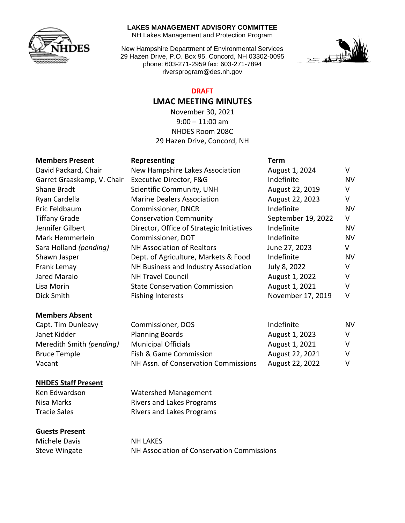

#### **LAKES MANAGEMENT ADVISORY COMMITTEE**

NH Lakes Management and Protection Program

New Hampshire Department of Environmental Services 29 Hazen Drive, P.O. Box 95, Concord, NH 03302-0095 phone: 603-271-2959 fax: 603-271-7894 riversprogram@des.nh.gov



#### **DRAFT**

# **LMAC MEETING MINUTES**

November 30, 2021  $9:00 - 11:00$  am NHDES Room 208C 29 Hazen Drive, Concord, NH

## **Members Present Representing Term**

|                            | .                                         | .                  |           |
|----------------------------|-------------------------------------------|--------------------|-----------|
| David Packard, Chair       | New Hampshire Lakes Association           | August 1, 2024     | V         |
| Garret Graaskamp, V. Chair | Executive Director, F&G                   | Indefinite         | <b>NV</b> |
| Shane Bradt                | Scientific Community, UNH                 | August 22, 2019    | v         |
| Ryan Cardella              | <b>Marine Dealers Association</b>         | August 22, 2023    | v         |
| Eric Feldbaum              | Commissioner, DNCR                        | Indefinite         | NV        |
| <b>Tiffany Grade</b>       | <b>Conservation Community</b>             | September 19, 2022 | V         |
| Jennifer Gilbert           | Director, Office of Strategic Initiatives | Indefinite         | <b>NV</b> |
| Mark Hemmerlein            | Commissioner, DOT                         | Indefinite         | <b>NV</b> |
| Sara Holland (pending)     | <b>NH Association of Realtors</b>         | June 27, 2023      | v         |
| Shawn Jasper               | Dept. of Agriculture, Markets & Food      | Indefinite         | <b>NV</b> |
| Frank Lemay                | NH Business and Industry Association      | July 8, 2022       | v         |
| Jared Maraio               | <b>NH Travel Council</b>                  | August 1, 2022     | V         |
| Lisa Morin                 | <b>State Conservation Commission</b>      | August 1, 2021     | v         |
| Dick Smith                 | <b>Fishing Interests</b>                  | November 17, 2019  | v         |
|                            |                                           |                    |           |

## **Members Absent**

Capt. Tim Dunleavy Commissioner, DOS and the Indefinite MV Janet Kidder **Planning Boards** August 1, 2023 Meredith Smith *(pending)* Municipal Officials Municipal August 1, 2021 V Bruce Temple **Fish & Game Commission** August 22, 2021 V Vacant MH Assn. of Conservation Commissions August 22, 2022 V

#### **NHDES Staff Present**

Ken Edwardson Watershed Management Nisa Marks **Rivers and Lakes Programs** Tracie Sales **Rivers and Lakes Programs** 

#### **Guests Present**

Michele Davis NH LAKES

Steve Wingate NH Association of Conservation Commissions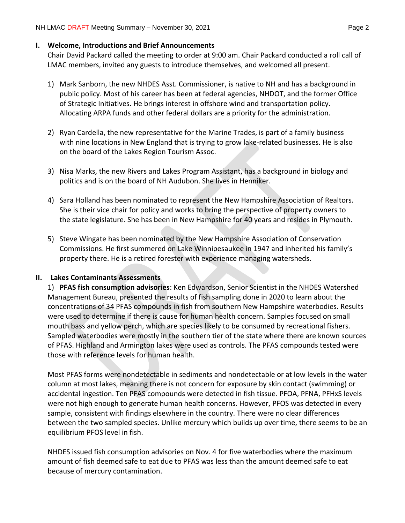#### **I. Welcome, Introductions and Brief Announcements**

Chair David Packard called the meeting to order at 9:00 am. Chair Packard conducted a roll call of LMAC members, invited any guests to introduce themselves, and welcomed all present.

- 1) Mark Sanborn, the new NHDES Asst. Commissioner, is native to NH and has a background in public policy. Most of his career has been at federal agencies, NHDOT, and the former Office of Strategic Initiatives. He brings interest in offshore wind and transportation policy. Allocating ARPA funds and other federal dollars are a priority for the administration.
- 2) Ryan Cardella, the new representative for the Marine Trades, is part of a family business with nine locations in New England that is trying to grow lake-related businesses. He is also on the board of the Lakes Region Tourism Assoc.
- 3) Nisa Marks, the new Rivers and Lakes Program Assistant, has a background in biology and politics and is on the board of NH Audubon. She lives in Henniker.
- 4) Sara Holland has been nominated to represent the New Hampshire Association of Realtors. She is their vice chair for policy and works to bring the perspective of property owners to the state legislature. She has been in New Hampshire for 40 years and resides in Plymouth.
- 5) Steve Wingate has been nominated by the New Hampshire Association of Conservation Commissions. He first summered on Lake Winnipesaukee in 1947 and inherited his family's property there. He is a retired forester with experience managing watersheds.

# **II. Lakes Contaminants Assessments**

1) **PFAS fish consumption advisories**: Ken Edwardson, Senior Scientist in the NHDES Watershed Management Bureau, presented the results of fish sampling done in 2020 to learn about the concentrations of 34 PFAS compounds in fish from southern New Hampshire waterbodies. Results were used to determine if there is cause for human health concern. Samples focused on small mouth bass and yellow perch, which are species likely to be consumed by recreational fishers. Sampled waterbodies were mostly in the southern tier of the state where there are known sources of PFAS. Highland and Armington lakes were used as controls. The PFAS compounds tested were those with reference levels for human health.

Most PFAS forms were nondetectable in sediments and nondetectable or at low levels in the water column at most lakes, meaning there is not concern for exposure by skin contact (swimming) or accidental ingestion. Ten PFAS compounds were detected in fish tissue. PFOA, PFNA, PFHxS levels were not high enough to generate human health concerns. However, PFOS was detected in every sample, consistent with findings elsewhere in the country. There were no clear differences between the two sampled species. Unlike mercury which builds up over time, there seems to be an equilibrium PFOS level in fish.

NHDES issued fish consumption advisories on Nov. 4 for five waterbodies where the maximum amount of fish deemed safe to eat due to PFAS was less than the amount deemed safe to eat because of mercury contamination.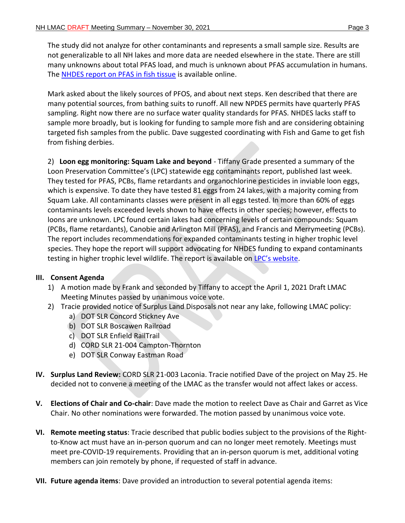The study did not analyze for other contaminants and represents a small sample size. Results are not generalizable to all NH lakes and more data are needed elsewhere in the state. There are still many unknowns about total PFAS load, and much is unknown about PFAS accumulation in humans. The NHDES report [on PFAS in fish tissue](https://www4.des.state.nh.us/nh-pfas-investigation/?p=1405) is available online.

Mark asked about the likely sources of PFOS, and about next steps. Ken described that there are many potential sources, from bathing suits to runoff. All new NPDES permits have quarterly PFAS sampling. Right now there are no surface water quality standards for PFAS. NHDES lacks staff to sample more broadly, but is looking for funding to sample more fish and are considering obtaining targeted fish samples from the public. Dave suggested coordinating with Fish and Game to get fish from fishing derbies.

2) **Loon egg monitoring: Squam Lake and beyond** - Tiffany Grade presented a summary of the Loon Preservation Committee's (LPC) statewide egg contaminants report, published last week. They tested for PFAS, PCBs, flame retardants and organochlorine pesticides in inviable loon eggs, which is expensive. To date they have tested 81 eggs from 24 lakes, with a majority coming from Squam Lake. All contaminants classes were present in all eggs tested. In more than 60% of eggs contaminants levels exceeded levels shown to have effects in other species; however, effects to loons are unknown. LPC found certain lakes had concerning levels of certain compounds: Squam (PCBs, flame retardants), Canobie and Arlington Mill (PFAS), and Francis and Merrymeeting (PCBs). The report includes recommendations for expanded contaminants testing in higher trophic level species. They hope the report will support advocating for NHDES funding to expand contaminants testing in higher trophic level wildlife. The report is available on LPC's [website.](https://loon.org/eggreport/)

# **III. Consent Agenda**

- 1) A motion made by Frank and seconded by Tiffany to accept the April 1, 2021 Draft LMAC Meeting Minutes passed by unanimous voice vote.
- 2) Tracie provided notice of Surplus Land Disposals not near any lake, following LMAC policy:
	- a) DOT SLR Concord Stickney Ave
	- b) DOT SLR Boscawen Railroad
	- c) DOT SLR Enfield RailTrail
	- d) CORD SLR 21-004 Campton-Thornton
	- e) DOT SLR Conway Eastman Road
- **IV. Surplus Land Review:** CORD SLR 21-003 Laconia. Tracie notified Dave of the project on May 25. He decided not to convene a meeting of the LMAC as the transfer would not affect lakes or access.
- **V. Elections of Chair and Co-chair**: Dave made the motion to reelect Dave as Chair and Garret as Vice Chair. No other nominations were forwarded. The motion passed by unanimous voice vote.
- **VI. Remote meeting status**: Tracie described that public bodies subject to the provisions of the Rightto-Know act must have an in-person quorum and can no longer meet remotely. Meetings must meet pre-COVID-19 requirements. Providing that an in-person quorum is met, additional voting members can join remotely by phone, if requested of staff in advance.
- **VII. Future agenda items**: Dave provided an introduction to several potential agenda items: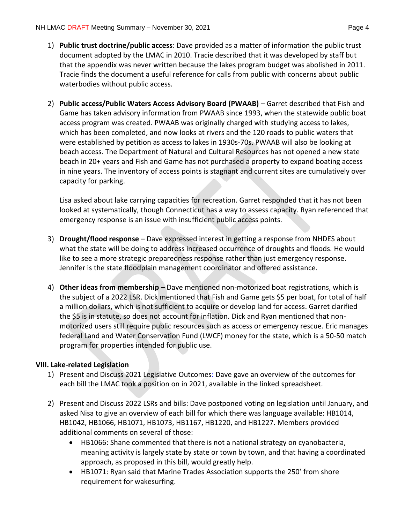- 1) **Public trust doctrine/public access**: Dave provided as a matter of information the public trust document adopted by the LMAC in 2010. Tracie described that it was developed by staff but that the appendix was never written because the lakes program budget was abolished in 2011. Tracie finds the document a useful reference for calls from public with concerns about public waterbodies without public access.
- 2) **Public access/Public Waters Access Advisory Board (PWAAB)** Garret described that Fish and Game has taken advisory information from PWAAB since 1993, when the statewide public boat access program was created. PWAAB was originally charged with studying access to lakes, which has been completed, and now looks at rivers and the 120 roads to public waters that were established by petition as access to lakes in 1930s-70s. PWAAB will also be looking at beach access. The Department of Natural and Cultural Resources has not opened a new state beach in 20+ years and Fish and Game has not purchased a property to expand boating access in nine years. The inventory of access points is stagnant and current sites are cumulatively over capacity for parking.

Lisa asked about lake carrying capacities for recreation. Garret responded that it has not been looked at systematically, though Connecticut has a way to assess capacity. Ryan referenced that emergency response is an issue with insufficient public access points.

- 3) **Drought/flood response** Dave expressed interest in getting a response from NHDES about what the state will be doing to address increased occurrence of droughts and floods. He would like to see a more strategic preparedness response rather than just emergency response. Jennifer is the state floodplain management coordinator and offered assistance.
- 4) **Other ideas from membership** Dave mentioned non-motorized boat registrations, which is the subject of a 2022 LSR. Dick mentioned that Fish and Game gets \$5 per boat, for total of half a million dollars, which is not sufficient to acquire or develop land for access. Garret clarified the \$5 is in statute, so does not account for inflation. Dick and Ryan mentioned that nonmotorized users still require public resources such as access or emergency rescue. Eric manages federal Land and Water Conservation Fund (LWCF) money for the state, which is a 50-50 match program for properties intended for public use.

# **VIII. Lake-related Legislation**

- 1) Present and Discuss 2021 Legislative Outcomes: Dave gave an overview of the outcomes for each bill the LMAC took a position on in 2021, available in the linked spreadsheet.
- 2) Present and Discuss 2022 LSRs and bills: Dave postponed voting on legislation until January, and asked Nisa to give an overview of each bill for which there was language available: HB1014, HB1042, HB1066, HB1071, HB1073, HB1167, HB1220, and HB1227. Members provided additional comments on several of those:
	- HB1066: Shane commented that there is not a national strategy on cyanobacteria, meaning activity is largely state by state or town by town, and that having a coordinated approach, as proposed in this bill, would greatly help.
	- HB1071: Ryan said that Marine Trades Association supports the 250' from shore requirement for wakesurfing.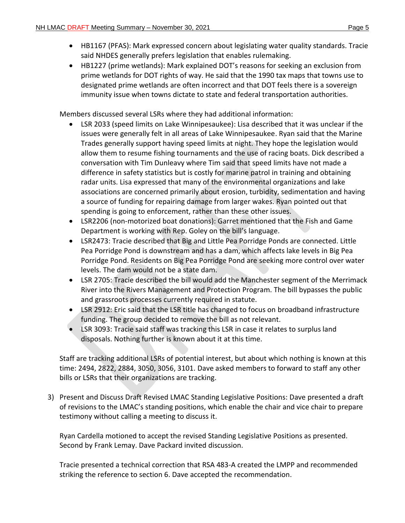- HB1167 (PFAS): Mark expressed concern about legislating water quality standards. Tracie said NHDES generally prefers legislation that enables rulemaking.
- HB1227 (prime wetlands): Mark explained DOT's reasons for seeking an exclusion from prime wetlands for DOT rights of way. He said that the 1990 tax maps that towns use to designated prime wetlands are often incorrect and that DOT feels there is a sovereign immunity issue when towns dictate to state and federal transportation authorities.

Members discussed several LSRs where they had additional information:

- LSR 2033 (speed limits on Lake Winnipesaukee): Lisa described that it was unclear if the issues were generally felt in all areas of Lake Winnipesaukee. Ryan said that the Marine Trades generally support having speed limits at night. They hope the legislation would allow them to resume fishing tournaments and the use of racing boats. Dick described a conversation with Tim Dunleavy where Tim said that speed limits have not made a difference in safety statistics but is costly for marine patrol in training and obtaining radar units. Lisa expressed that many of the environmental organizations and lake associations are concerned primarily about erosion, turbidity, sedimentation and having a source of funding for repairing damage from larger wakes. Ryan pointed out that spending is going to enforcement, rather than these other issues.
- LSR2206 (non-motorized boat donations): Garret mentioned that the Fish and Game Department is working with Rep. Goley on the bill's language.
- LSR2473: Tracie described that Big and Little Pea Porridge Ponds are connected. Little Pea Porridge Pond is downstream and has a dam, which affects lake levels in Big Pea Porridge Pond. Residents on Big Pea Porridge Pond are seeking more control over water levels. The dam would not be a state dam.
- LSR 2705: Tracie described the bill would add the Manchester segment of the Merrimack River into the Rivers Management and Protection Program. The bill bypasses the public and grassroots processes currently required in statute.
- LSR 2912: Eric said that the LSR title has changed to focus on broadband infrastructure funding. The group decided to remove the bill as not relevant.
- LSR 3093: Tracie said staff was tracking this LSR in case it relates to surplus land disposals. Nothing further is known about it at this time.

Staff are tracking additional LSRs of potential interest, but about which nothing is known at this time: 2494, 2822, 2884, 3050, 3056, 3101. Dave asked members to forward to staff any other bills or LSRs that their organizations are tracking.

3) Present and Discuss Draft Revised LMAC Standing Legislative Positions: Dave presented a draft of revisions to the LMAC's standing positions, which enable the chair and vice chair to prepare testimony without calling a meeting to discuss it.

Ryan Cardella motioned to accept the revised Standing Legislative Positions as presented. Second by Frank Lemay. Dave Packard invited discussion.

Tracie presented a technical correction that RSA 483-A created the LMPP and recommended striking the reference to section 6. Dave accepted the recommendation.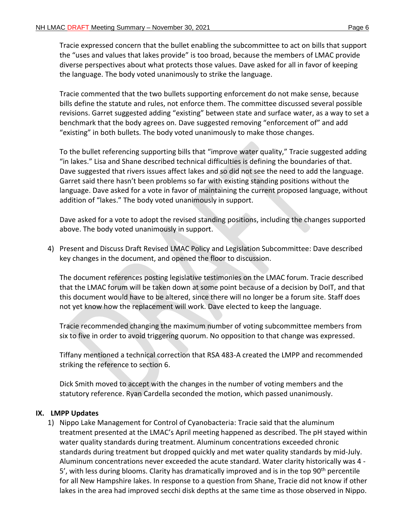Tracie expressed concern that the bullet enabling the subcommittee to act on bills that support the "uses and values that lakes provide" is too broad, because the members of LMAC provide diverse perspectives about what protects those values. Dave asked for all in favor of keeping the language. The body voted unanimously to strike the language.

Tracie commented that the two bullets supporting enforcement do not make sense, because bills define the statute and rules, not enforce them. The committee discussed several possible revisions. Garret suggested adding "existing" between state and surface water, as a way to set a benchmark that the body agrees on. Dave suggested removing "enforcement of" and add "existing" in both bullets. The body voted unanimously to make those changes.

To the bullet referencing supporting bills that "improve water quality," Tracie suggested adding "in lakes." Lisa and Shane described technical difficulties is defining the boundaries of that. Dave suggested that rivers issues affect lakes and so did not see the need to add the language. Garret said there hasn't been problems so far with existing standing positions without the language. Dave asked for a vote in favor of maintaining the current proposed language, without addition of "lakes." The body voted unanimously in support.

Dave asked for a vote to adopt the revised standing positions, including the changes supported above. The body voted unanimously in support.

4) Present and Discuss Draft Revised LMAC Policy and Legislation Subcommittee: Dave described key changes in the document, and opened the floor to discussion.

The document references posting legislative testimonies on the LMAC forum. Tracie described that the LMAC forum will be taken down at some point because of a decision by DoIT, and that this document would have to be altered, since there will no longer be a forum site. Staff does not yet know how the replacement will work. Dave elected to keep the language.

Tracie recommended changing the maximum number of voting subcommittee members from six to five in order to avoid triggering quorum. No opposition to that change was expressed.

Tiffany mentioned a technical correction that RSA 483-A created the LMPP and recommended striking the reference to section 6.

Dick Smith moved to accept with the changes in the number of voting members and the statutory reference. Ryan Cardella seconded the motion, which passed unanimously.

# **IX. LMPP Updates**

1) Nippo Lake Management for Control of Cyanobacteria: Tracie said that the aluminum treatment presented at the LMAC's April meeting happened as described. The pH stayed within water quality standards during treatment. Aluminum concentrations exceeded chronic standards during treatment but dropped quickly and met water quality standards by mid-July. Aluminum concentrations never exceeded the acute standard. Water clarity historically was 4 - 5', with less during blooms. Clarity has dramatically improved and is in the top  $90<sup>th</sup>$  percentile for all New Hampshire lakes. In response to a question from Shane, Tracie did not know if other lakes in the area had improved secchi disk depths at the same time as those observed in Nippo.